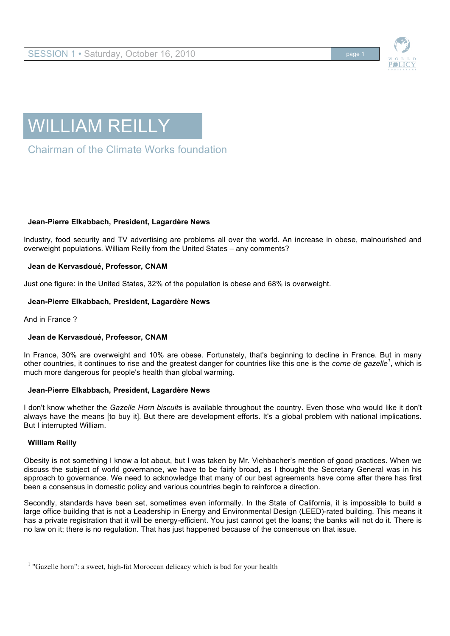



Chairman of the Climate Works foundation

# **Jean-Pierre Elkabbach, President, Lagardère News**

Industry, food security and TV advertising are problems all over the world. An increase in obese, malnourished and overweight populations. William Reilly from the United States – any comments?

# **Jean de Kervasdoué, Professor, CNAM**

Just one figure: in the United States, 32% of the population is obese and 68% is overweight.

## **Jean-Pierre Elkabbach, President, Lagardère News**

And in France ?

## **Jean de Kervasdoué, Professor, CNAM**

In France, 30% are overweight and 10% are obese. Fortunately, that's beginning to decline in France. But in many other countries, it continues to rise and the greatest danger for countries like this one is the *corne de gazelle<sup>1</sup>* , which is much more dangerous for people's health than global warming.

## **Jean-Pierre Elkabbach, President, Lagardère News**

I don't know whether the *Gazelle Horn biscuits* is available throughout the country. Even those who would like it don't always have the means [to buy it]. But there are development efforts. It's a global problem with national implications. But I interrupted William.

## **William Reilly**

Obesity is not something I know a lot about, but I was taken by Mr. Viehbacher's mention of good practices. When we discuss the subject of world governance, we have to be fairly broad, as I thought the Secretary General was in his approach to governance. We need to acknowledge that many of our best agreements have come after there has first been a consensus in domestic policy and various countries begin to reinforce a direction.

Secondly, standards have been set, sometimes even informally. In the State of California, it is impossible to build a large office building that is not a Leadership in Energy and Environmental Design (LEED)-rated building. This means it has a private registration that it will be energy-efficient. You just cannot get the loans; the banks will not do it. There is no law on it; there is no regulation. That has just happened because of the consensus on that issue.

1 "Gazelle horn": a sweet, high-fat Moroccan delicacy which is bad for your health